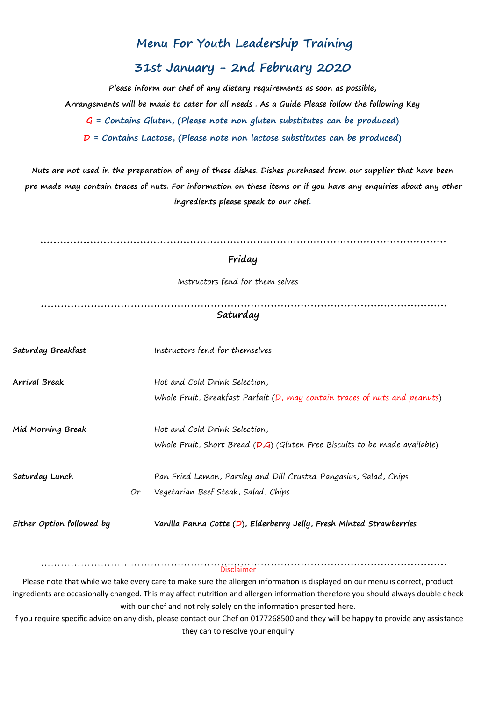## **Menu For Youth Leadership Training**

## **31st January - 2nd February 2020**

**Please inform our chef of any dietary requirements as soon as possible, Arrangements will be made to cater for all needs . As a Guide Please follow the following Key G = Contains Gluten, (Please note non gluten substitutes can be produced) D = Contains Lactose, (Please note non lactose substitutes can be produced)**

**Nuts are not used in the preparation of any of these dishes. Dishes purchased from our supplier that have been pre made may contain traces of nuts. For information on these items or if you have any enquiries about any other ingredients please speak to our chef.**

|                           |    | Friday                                                                                                                       |
|---------------------------|----|------------------------------------------------------------------------------------------------------------------------------|
|                           |    | Instructors fend for them selves                                                                                             |
|                           |    | Saturday                                                                                                                     |
| Saturday Breakfast        |    | Instructors fend for themselves                                                                                              |
| <b>Arrival Break</b>      |    | Hot and Cold Drink Selection,                                                                                                |
|                           |    | Whole Fruit, Breakfast Parfait (D, may contain traces of nuts and peanuts)                                                   |
| Mid Morning Break         |    | Hot and Cold Drink Selection,                                                                                                |
|                           |    | Whole Fruit, Short Bread $(D,G)$ (Gluten Free Biscuits to be made available)                                                 |
| Saturday Lunch            |    | Pan Fried Lemon, Parsley and Dill Crusted Pangasius, Salad, Chips                                                            |
|                           | Or | Vegetarian Beef Steak, Salad, Chips                                                                                          |
| Either Option followed by |    | Vanilla Panna Cotte (D), Elderberry Jelly, Fresh Minted Strawberries                                                         |
|                           |    | <b>Disclaimer</b>                                                                                                            |
|                           |    | Please note that while we take every care to make sure the allergen information is displayed on our menu is correct, product |

ingredients are occasionally changed. This may affect nutrition and allergen information therefore you should always double check with our chef and not rely solely on the information presented here.

If you require specific advice on any dish, please contact our Chef on 0177268500 and they will be happy to provide any assistance they can to resolve your enquiry